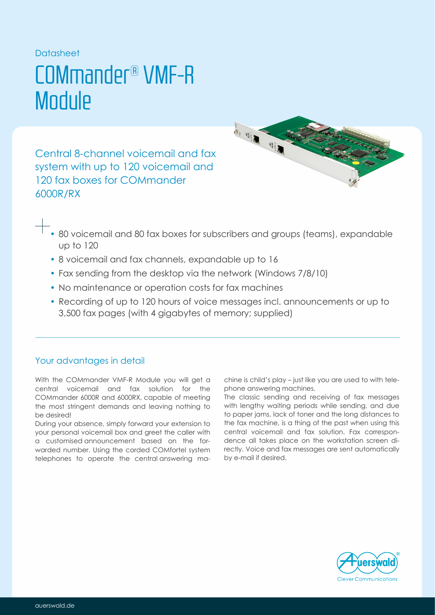### Datasheet

## COMmander® VMF-R **Module**

Central 8-channel voicemail and fax system with up to 120 voicemail and 120 fax boxes for COMmander 6000R/RX



- 80 voicemail and 80 fax boxes for subscribers and groups (teams), expandable up to 120
- 8 voicemail and fax channels, expandable up to 16
- Fax sending from the desktop via the network (Windows 7/8/10)
- No maintenance or operation costs for fax machines
- Recording of up to 120 hours of voice messages incl. announcements or up to 3,500 fax pages (with 4 gigabytes of memory; supplied)

## Your advantages in detail

With the COMmander VMF-R Module you will get a central voicemail and fax solution for the COMmander 6000R and 6000RX, capable of meeting the most stringent demands and leaving nothing to be desired!

During your absence, simply forward your extension to your personal voicemail box and greet the caller with a customised announcement based on the forwarded number. Using the corded COMfortel system telephones to operate the central answering machine is child's play – just like you are used to with telephone answering machines.

The classic sending and receiving of fax messages with lengthy waiting periods while sending, and due to paper jams, lack of toner and the long distances to the fax machine, is a thing of the past when using this central voicemail and fax solution. Fax correspondence all takes place on the workstation screen directly. Voice and fax messages are sent automatically by e-mail if desired.